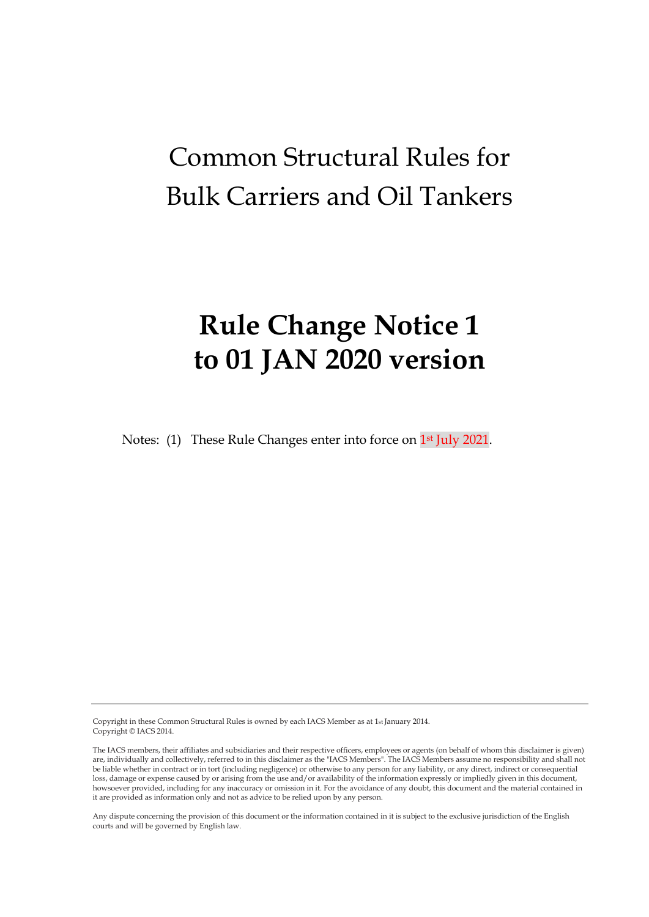# Common Structural Rules for Bulk Carriers and Oil Tankers

# **Rule Change Notice 1 to 01 JAN 2020 version**

Notes: (1) These Rule Changes enter into force on 1<sup>st</sup> July 2021.

Copyright in these Common Structural Rules is owned by each IACS Member as at 1st January 2014. Copyright © IACS 2014.

Any dispute concerning the provision of this document or the information contained in it is subject to the exclusive jurisdiction of the English courts and will be governed by English law.

The IACS members, their affiliates and subsidiaries and their respective officers, employees or agents (on behalf of whom this disclaimer is given) are, individually and collectively, referred to in this disclaimer as the "IACS Members". The IACS Members assume no responsibility and shall not be liable whether in contract or in tort (including negligence) or otherwise to any person for any liability, or any direct, indirect or consequential loss, damage or expense caused by or arising from the use and/or availability of the information expressly or impliedly given in this document, howsoever provided, including for any inaccuracy or omission in it. For the avoidance of any doubt, this document and the material contained in it are provided as information only and not as advice to be relied upon by any person.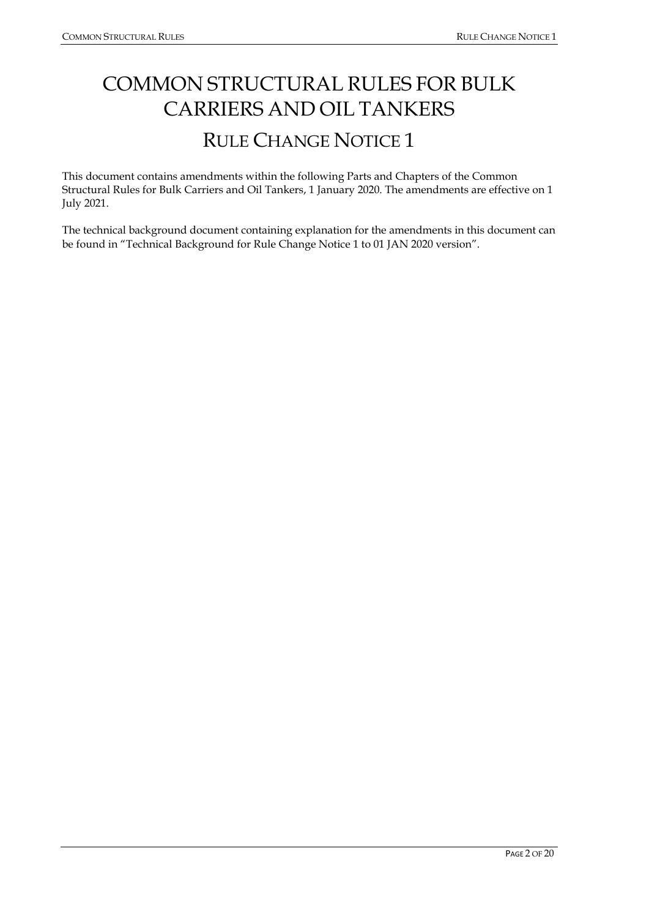## COMMON STRUCTURAL RULES FOR BULK CARRIERS AND OIL TANKERS RULE CHANGE NOTICE 1

This document contains amendments within the following Parts and Chapters of the Common Structural Rules for Bulk Carriers and Oil Tankers, 1 January 2020. The amendments are effective on 1 July 2021.

The technical background document containing explanation for the amendments in this document can be found in "Technical Background for Rule Change Notice 1 to 01 JAN 2020 version".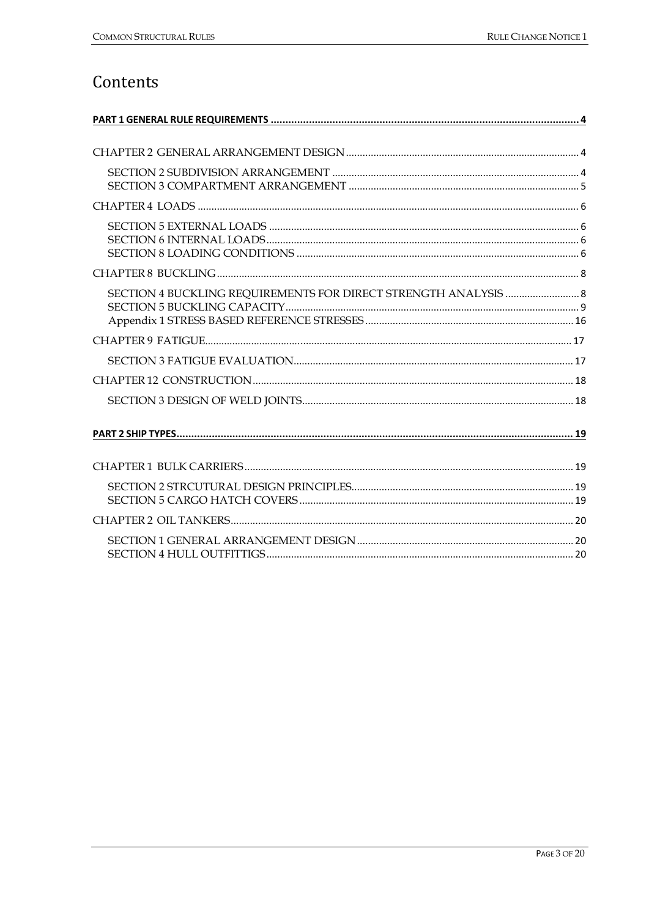## Contents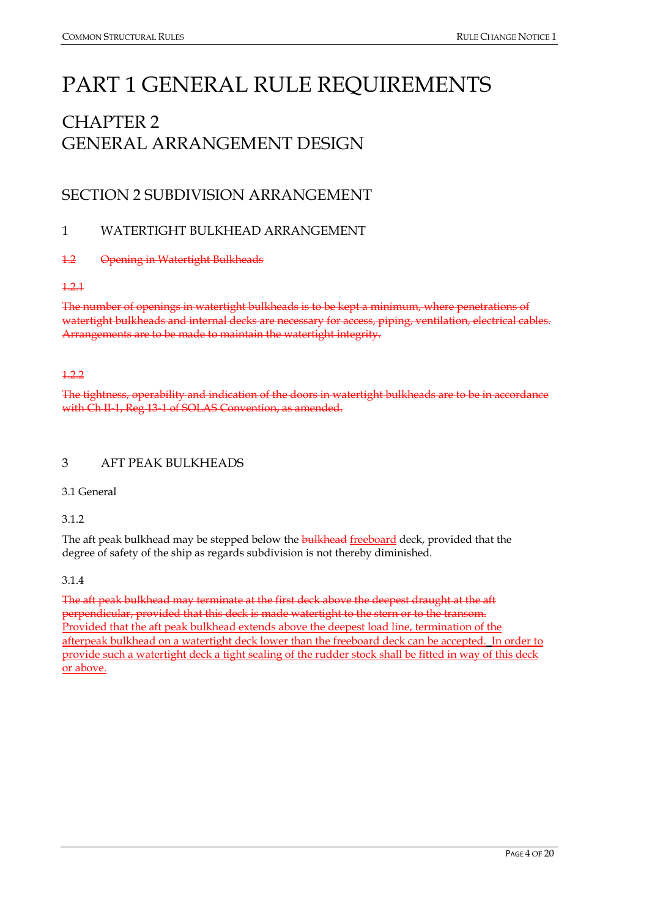## <span id="page-3-0"></span>PART 1 GENERAL RULE REQUIREMENTS

## <span id="page-3-1"></span>CHAPTER 2 GENERAL ARRANGEMENT DESIGN

## <span id="page-3-2"></span>SECTION 2 SUBDIVISION ARRANGEMENT

#### 1 WATERTIGHT BULKHEAD ARRANGEMENT

#### 1.2 Opening in Watertight Bulkheads

#### 1.2.1

The number of openings in watertight bulkheads is to be kept a minimum, where penetrations of watertight bulkheads and internal decks are necessary for access, piping, ventilation, electrical cables. Arrangements are to be made to maintain the watertight integrity.

#### 1.2.2

The tightness, operability and indication of the doors in watertight bulkheads are to be in accordance with Ch II-1, Reg 13-1 of SOLAS Convention, as amended.

#### 3 AFT PEAK BULKHEADS

3.1 General

#### 3.1.2

The aft peak bulkhead may be stepped below the **bulkhead** freeboard deck, provided that the degree of safety of the ship as regards subdivision is not thereby diminished.

#### 3.1.4

The aft peak bulkhead may terminate at the first deck above the deepest draught at the aft perpendicular, provided that this deck is made watertight to the stern or to the transom. Provided that the aft peak bulkhead extends above the deepest load line, termination of the afterpeak bulkhead on a watertight deck lower than the freeboard deck can be accepted. In order to provide such a watertight deck a tight sealing of the rudder stock shall be fitted in way of this deck or above.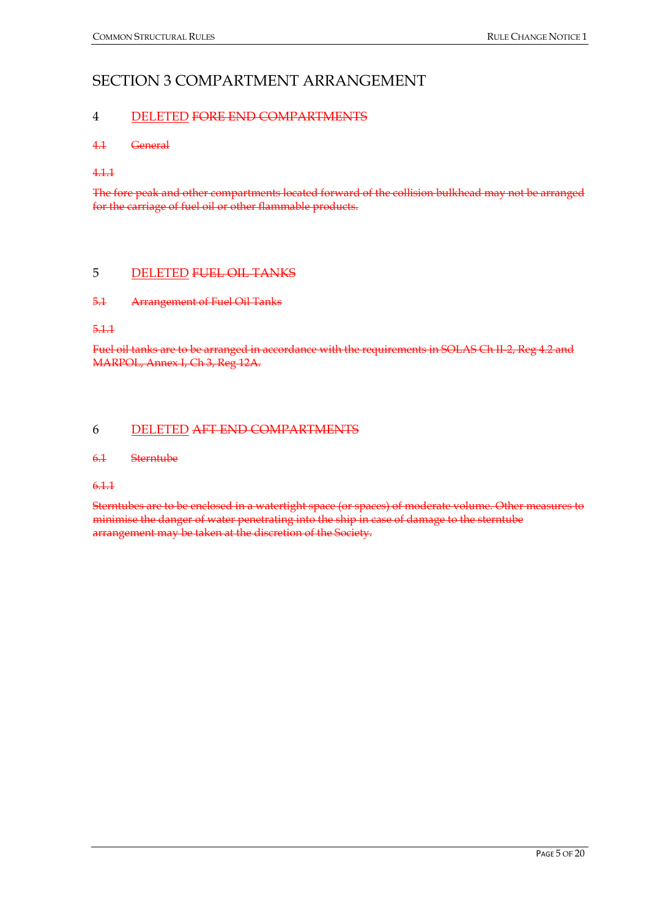#### <span id="page-4-0"></span>SECTION 3 COMPARTMENT ARRANGEMENT

#### 4 DELETED FORE END COMPARTMENTS

#### 4.1 General

4.1.1

The fore peak and other compartments located forward of the collision bulkhead may not be arranged for the carriage of fuel oil or other flammable products.

#### 5 DELETED FUEL OIL TANKS

#### 5.1 Arrangement of Fuel Oil Tanks

5.1.1

Fuel oil tanks are to be arranged in accordance with the requirements in SOLAS Ch II-2, Reg 4.2 and MARPOL, Annex I, Ch 3, Reg 12A.

#### 6 DELETED AFT END COMPARTMENTS

#### 6.1 Sterntube

6.1.1

Sterntubes are to be enclosed in a watertight space (or spaces) of moderate volume. Other measures to minimise the danger of water penetrating into the ship in case of damage to the sterntube arrangement may be taken at the discretion of the Society.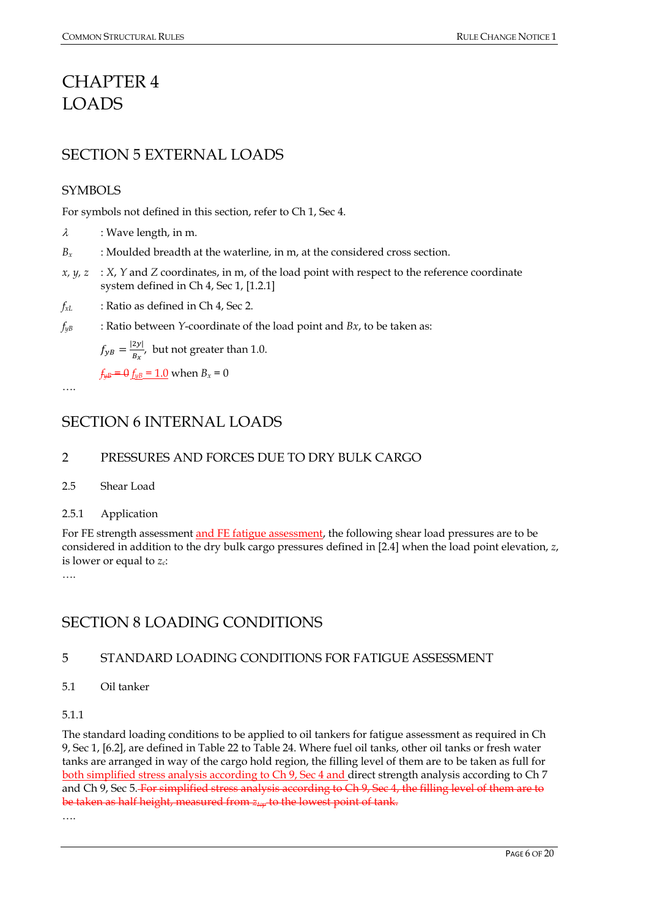## <span id="page-5-0"></span>CHAPTER 4 LOADS

## <span id="page-5-1"></span>SECTION 5 EXTERNAL LOADS

#### **SYMBOLS**

For symbols not defined in this section, refer to Ch 1, Sec 4.

- $\lambda$  : Wave length, in m.
- *Bx* : Moulded breadth at the waterline, in m, at the considered cross section.
- *x, y, z* : *X*, *Y* and *Z* coordinates, in m, of the load point with respect to the reference coordinate system defined in Ch 4, Sec 1, [1.2.1]
- *fxL* : Ratio as defined in Ch 4, Sec 2.
- *fyB* : Ratio between *Y*-coordinate of the load point and *Bx*, to be taken as:

 $f_{yB} = \frac{|2y|}{B_x}$ , but not greater than 1.0.

 $f_{\mu B} = \theta f_{\mu B} = 1.0$  when  $B_x = 0$ 

<span id="page-5-2"></span>….

## SECTION 6 INTERNAL LOADS

#### 2 PRESSURES AND FORCES DUE TO DRY BULK CARGO

- 2.5 Shear Load
- 2.5.1 Application

For FE strength assessment and FE fatigue assessment, the following shear load pressures are to be considered in addition to the dry bulk cargo pressures defined in [2.4] when the load point elevation, *z*, is lower or equal to *zc*:

….

## <span id="page-5-3"></span>SECTION 8 LOADING CONDITIONS

#### 5 STANDARD LOADING CONDITIONS FOR FATIGUE ASSESSMENT

5.1 Oil tanker

#### 5.1.1

The standard loading conditions to be applied to oil tankers for fatigue assessment as required in Ch 9, Sec 1, [6.2], are defined in Table 22 to Table 24. Where fuel oil tanks, other oil tanks or fresh water tanks are arranged in way of the cargo hold region, the filling level of them are to be taken as full for both simplified stress analysis according to Ch 9, Sec 4 and direct strength analysis according to Ch 7 and Ch 9, Sec 5. For simplified stress analysis according to Ch 9, Sec 4, the filling level of them are to be taken as half height, measured from *ztop* to the lowest point of tank. ….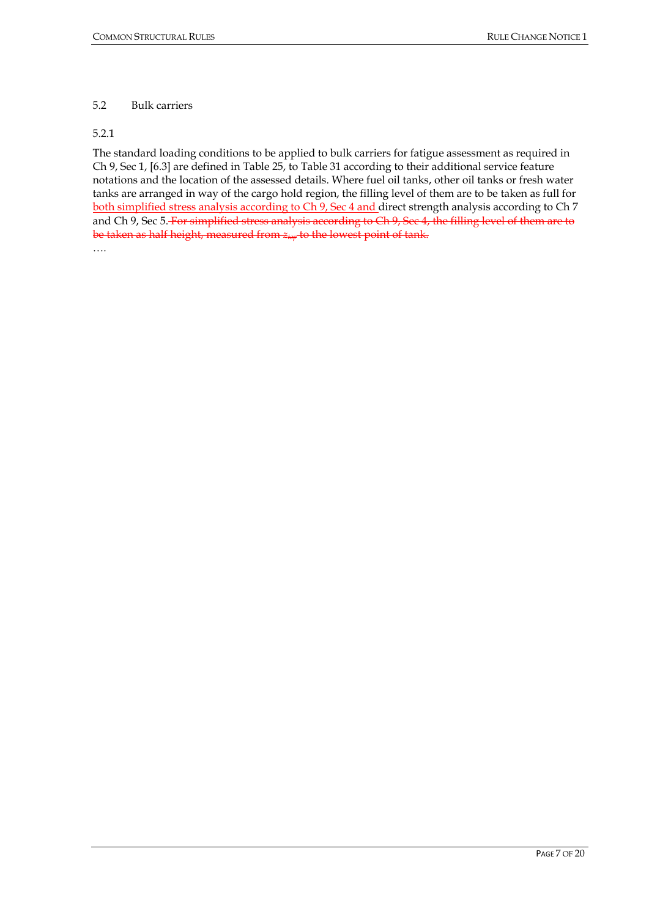PAGE 7 OF 20

#### 5.2 Bulk carriers

#### 5.2.1

The standard loading conditions to be applied to bulk carriers for fatigue assessment as required in Ch 9, Sec 1, [6.3] are defined in Table 25, to Table 31 according to their additional service feature notations and the location of the assessed details. Where fuel oil tanks, other oil tanks or fresh water tanks are arranged in way of the cargo hold region, the filling level of them are to be taken as full for both simplified stress analysis according to Ch 9, Sec 4 and direct strength analysis according to Ch 7 and Ch 9, Sec 5. For simplified stress analysis according to Ch 9, Sec 4, the filling level of them are to be taken as half height, measured from  $z_{\text{top}}$  to the lowest point of tank. ….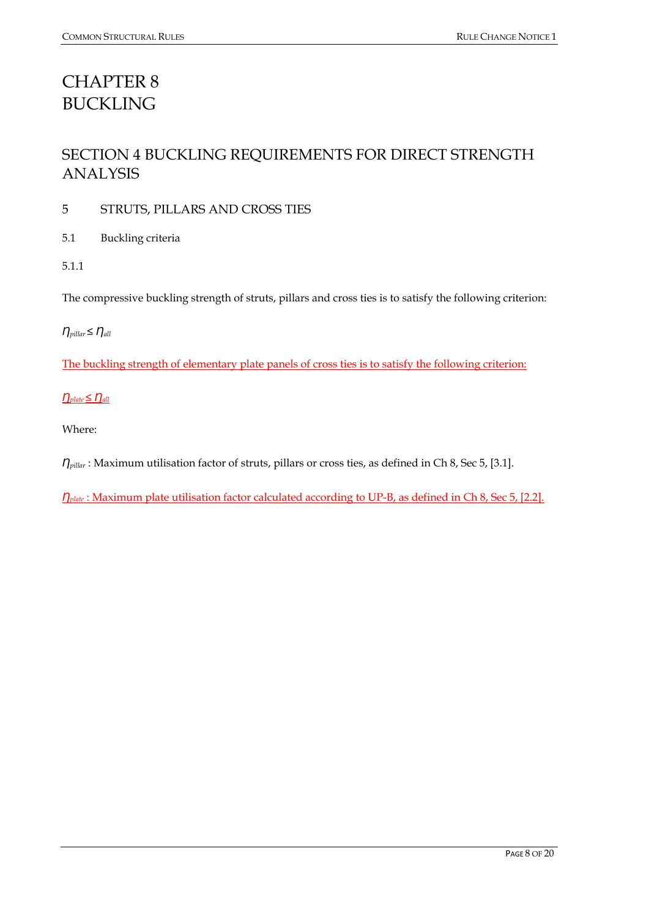## <span id="page-7-0"></span>CHAPTER 8 BUCKLING

## <span id="page-7-1"></span>SECTION 4 BUCKLING REQUIREMENTS FOR DIRECT STRENGTH ANALYSIS

5 STRUTS, PILLARS AND CROSS TIES

5.1 Buckling criteria

5.1.1

The compressive buckling strength of struts, pillars and cross ties is to satisfy the following criterion:

#### $η_{pillar} ≤ η_{all}$

The buckling strength of elementary plate panels of cross ties is to satisfy the following criterion:

#### $\underline{\eta}_{plate} \leq \underline{\eta}_{all}$

Where:

*n*<sub>pillar</sub> : Maximum utilisation factor of struts, pillars or cross ties, as defined in Ch 8, Sec 5, [3.1].

*n*<sub>plate</sub> : Maximum plate utilisation factor calculated according to UP-B, as defined in Ch 8, Sec 5, [2.2].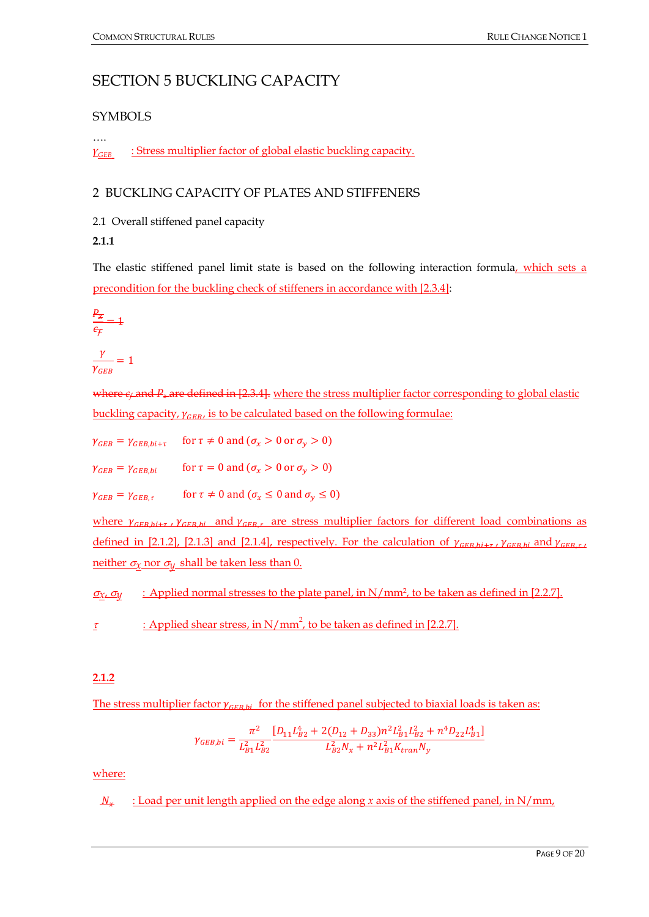### <span id="page-8-0"></span>SECTION 5 BUCKLING CAPACITY

#### SYMBOLS

*γGEB* : Stress multiplier factor of global elastic buckling capacity.

#### 2 BUCKLING CAPACITY OF PLATES AND STIFFENERS

2.1 Overall stiffened panel capacity

#### **2.1.1**

….

The elastic stiffened panel limit state is based on the following interaction formula, which sets a precondition for the buckling check of stiffeners in accordance with [2.3.4]:

$$
\frac{P_Z}{\epsilon_F} = 1
$$

$$
\frac{\gamma}{\gamma_{GEB}} = 1
$$

where  $e_f$  and  $P_z$  are defined in [2.3.4]. where the stress multiplier factor corresponding to global elastic buckling capacity,  $\gamma_{CFR}$ , is to be calculated based on the following formulae:

 $\gamma_{GEB} = \gamma_{GEB,bi+\tau}$  for  $\tau \neq 0$  and  $(\sigma_x > 0$  or  $\sigma_v > 0)$ 

 $\gamma_{GEB} = \gamma_{GEB,bi}$  for  $\tau = 0$  and  $(\sigma_x > 0$  or  $\sigma_y > 0)$ 

 $\gamma_{GEB} = \gamma_{GEB, \tau}$  for  $\tau \neq 0$  and  $(\sigma_x \leq 0 \text{ and } \sigma_y \leq 0)$ 

where  $\gamma_{GFR\, bi}$ ,  $\gamma_{GFR\, bi}$  and  $\gamma_{GFR\, \tau}$  are stress multiplier factors for different load combinations as defined in [2.1.2], [2.1.3] and [2.1.4], respectively. For the calculation of  $\gamma_{CFR bi+ \tau}$ ,  $\gamma_{CFR bi}$  and  $\gamma_{CFR \tau}$ neither  $\sigma_{\chi}$  nor  $\sigma_{\psi}$  shall be taken less than 0.

<sup>σ</sup>*x*, <sup>σ</sup>*y* : Applied normal stresses to the plate panel, in N/mm2, to be taken as defined in [2.2.7].

<u>*τ* : Applied shear stress, in N/mm<sup>2</sup>, to be taken as defined in [2.2.7]</u>

#### **2.1.2**

The stress multiplier factor  $\gamma_{CFR, bi}$  for the stiffened panel subjected to biaxial loads is taken as:

$$
\gamma_{GEB,bi} = \frac{\pi^2}{L_{B1}^2 L_{B2}^2} \frac{[D_{11}L_{B2}^4 + 2(D_{12} + D_{33})n^2 L_{B1}^2 L_{B2}^2 + n^4 D_{22} L_{B1}^4]}{L_{B2}^2 N_x + n^2 L_{B1}^2 K_{tran} N_y}
$$

where:

 $N<sub>x</sub>$  : Load per unit length applied on the edge along *x* axis of the stiffened panel, in N/mm,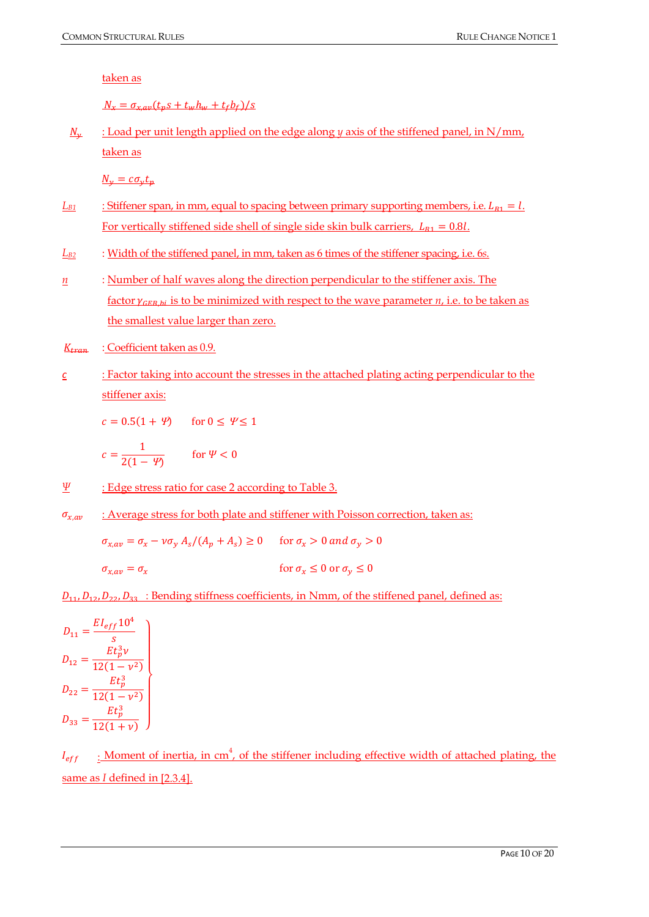taken as

 $N_r = \sigma_{r,av}(t_n s + t_w h_w + t_\text{f} b_\text{f})/s$ 

N<sub>y</sub> : Load per unit length applied on the edge along *y* axis of the stiffened panel, in N/mm, taken as

 $N_{\nu} = c\sigma_{\nu}t_n$ 

- $L_{B1}$  : Stiffener span, in mm, equal to spacing between primary supporting members, i.e.  $L_{B1} = l$ . For vertically stiffened side shell of single side skin bulk carriers,  $L_{B1} = 0.8l$ .
- *LB2* : Width of the stiffened panel, in mm, taken as 6 times of the stiffener spacing, i.e. 6*s*.
- *n* : Number of half waves along the direction perpendicular to the stiffener axis. The factor  $\gamma_{GFR\,bi}$  is to be minimized with respect to the wave parameter *n*, i.e. to be taken as the smallest value larger than zero.
- $K_{tran}$  : Coefficient taken as 0.9.
- *c* : Factor taking into account the stresses in the attached plating acting perpendicular to the stiffener axis:

 $c = 0.5(1 + \Psi)$  for  $0 \le \Psi \le 1$ 

$$
c = \frac{1}{2(1 - \Psi)} \qquad \text{for } \Psi < 0
$$

- *Ψ* : Edge stress ratio for case 2 according to Table 3.
- $\sigma_{x,av}$  : Average stress for both plate and stiffener with Poisson correction, taken as:

 $\sigma_{x,av} = \sigma_x - \nu \sigma_y A_s/(A_p + A_s) \ge 0$  for  $\sigma_x > 0$  and  $\sigma_y > 0$ 

 $\sigma_{x\,av} = \sigma_x$  for  $\sigma_x \le 0$  or  $\sigma_y \le 0$ 

 $D_{11}, D_{12}, D_{22}, D_{33}$ : Bending stiffness coefficients, in Nmm, of the stiffened panel, defined as:

 $D_{11} = \frac{EI_{eff}10^4}{s}$  $\boldsymbol{s}$  $D_{12} = \frac{Et_p^3v}{12(1-v^2)}$  $12(1-\nu^2)$  $D_{22} = \frac{Et_p^3}{12(1 - )}$  $12(1-\nu^2)$  $D_{33} = \frac{Et_p^3}{12(1+1)}$  $12(1 + v)$  )  $\overline{a}$  $\blacksquare$  $\overline{a}$  $\overline{a}$  $\blacksquare$  $\mathbf{I}$ 

 $I_{eff}$  : Moment of inertia, in cm<sup>4</sup>, of the stiffener including effective width of attached plating, the same as *I* defined in [2.3.4].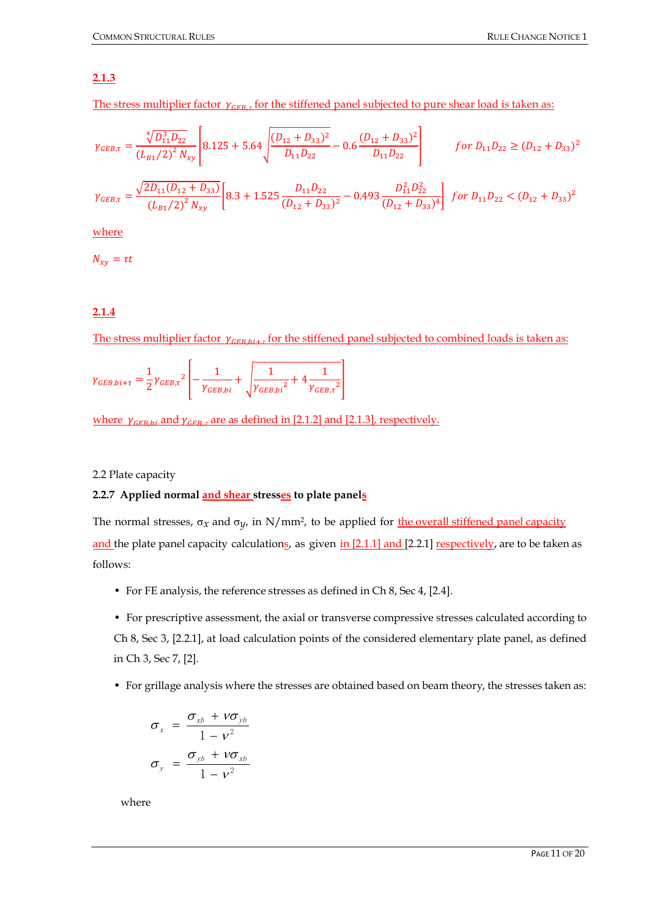#### **2.1.3**

The stress multiplier factor  $\gamma_{CFR}$ , for the stiffened panel subjected to pure shear load is taken as:

$$
\gamma_{GEB,\tau} = \frac{\sqrt[4]{D_{11}^3 D_{22}}}{(L_{B1}/2)^2 N_{xy}} \left[ 8.125 + 5.64 \sqrt{\frac{(D_{12} + D_{33})^2}{D_{11} D_{22}}} - 0.6 \frac{(D_{12} + D_{33})^2}{D_{11} D_{22}} \right]
$$
\n
$$
f \text{ or } D_{11} D_{22} \ge (D_{12} + D_{33})^2
$$
\n
$$
\gamma_{GEB,\tau} = \frac{\sqrt{2D_{11}(D_{12} + D_{33})}}{(L_{B1}/2)^2 N_{xy}} \left[ 8.3 + 1.525 \frac{D_{11} D_{22}}{(D_{12} + D_{33})^2} - 0.493 \frac{D_{11}^2 D_{22}^2}{(D_{12} + D_{33})^4} \right] \text{ for } D_{11} D_{22} < (D_{12} + D_{33})^2
$$

where

 $N_{xy}=\tau t$ 

#### **2.1.4**

The stress multiplier factor  $\gamma_{GER, bi+r}$  for the stiffened panel subjected to combined loads is taken as:

$$
\gamma_{GEB,bi+\tau} = \frac{1}{2} \gamma_{GEB,\tau}^{2} \left[ -\frac{1}{\gamma_{GEB,bi}} + \sqrt{\frac{1}{\gamma_{GEB,bi}^{2}} + 4 \frac{1}{\gamma_{GEB,\tau}^{2}}} \right]
$$

where  $\gamma_{GEB, bi}$  and  $\gamma_{GEB, \tau}$  are as defined in [2.1.2] and [2.1.3], respectively.

#### 2.2 Plate capacity

#### **2.2.7 Applied normal and shear stresses to plate panels**

The normal stresses,  $\sigma_x$  and  $\sigma_y$ , in N/mm<sup>2</sup>, to be applied for the overall stiffened panel capacity and the plate panel capacity calculations, as given in [2.1.1] and [2.2.1] respectively, are to be taken as follows:

• For FE analysis, the reference stresses as defined in Ch 8, Sec 4, [2.4].

• For prescriptive assessment, the axial or transverse compressive stresses calculated according to Ch 8, Sec 3, [2.2.1], at load calculation points of the considered elementary plate panel, as defined in Ch 3, Sec 7, [2].

• For grillage analysis where the stresses are obtained based on beam theory, the stresses taken as:

$$
\sigma_x = \frac{\sigma_{xb} + v \sigma_{yb}}{1 - v^2}
$$

$$
\sigma_y = \frac{\sigma_{yb} + v \sigma_{xb}}{1 - v^2}
$$

where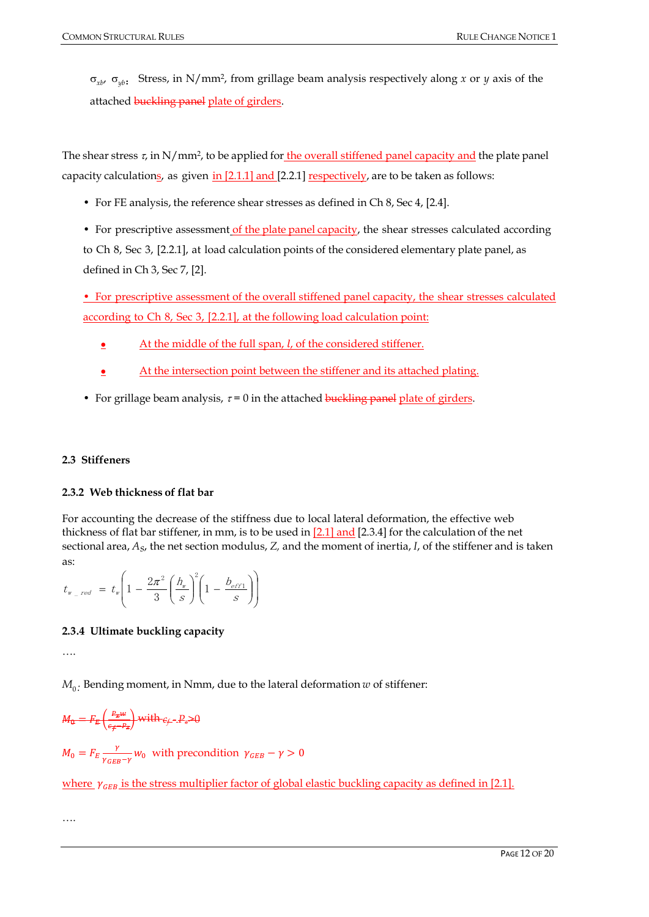σ*xb*, σ*yb*: Stress, in N/mm2, from grillage beam analysis respectively along *x* or *y* axis of the attached **buckling panel** plate of girders.

The shear stress  $\tau$ , in N/mm<sup>2</sup>, to be applied for the overall stiffened panel capacity and the plate panel capacity calculations, as given in  $[2.1.1]$  and  $[2.2.1]$  respectively, are to be taken as follows:

- For FE analysis, the reference shear stresses as defined in Ch 8, Sec 4, [2.4].
- For prescriptive assessment of the plate panel capacity, the shear stresses calculated according to Ch 8, Sec 3, [2.2.1], at load calculation points of the considered elementary plate panel, as

defined in Ch 3, Sec 7, [2].

• For prescriptive assessment of the overall stiffened panel capacity, the shear stresses calculated according to Ch 8, Sec 3, [2.2.1], at the following load calculation point:

- $\bullet$  At the middle of the full span,  $l$ , of the considered stiffener.
- **At the intersection point between the stiffener and its attached plating.**
- For grillage beam analysis,  $\tau = 0$  in the attached buckling panel plate of girders.

#### **2.3 Stiffeners**

#### **2.3.2 Web thickness of flat bar**

For accounting the decrease of the stiffness due to local lateral deformation, the effective web thickness of flat bar stiffener, in mm, is to be used in  $[2.1]$  and  $[2.3.4]$  for the calculation of the net sectional area, *As*, the net section modulus, *Z,* and the moment of inertia, *I*, of the stiffener and is taken as:

$$
t_{w_{\text{--}red}} = t_{w} \left( 1 - \frac{2\pi^2}{3} \left( \frac{h_{w}}{s} \right)^2 \left( 1 - \frac{b_{\text{eff1}}}{s} \right) \right)
$$

#### **2.3.4 Ultimate buckling capacity**

….

 $M_{0}$ : Bending moment, in Nmm, due to the lateral deformation *w* of stiffener:

$$
M_{\theta} = F_E \left( \frac{P_{\mathbf{z}} w}{\epsilon_f - P_{\mathbf{z}}} \right) \text{ with } \epsilon_f - P_{\mathbf{z}} > 0
$$

$$
M_0 = F_E \frac{\gamma}{\gamma_{GEB} - \gamma} w_0
$$
 with precondition  $\gamma_{GEB} - \gamma > 0$ 

where  $\gamma_{CFB}$  is the stress multiplier factor of global elastic buckling capacity as defined in [2.1].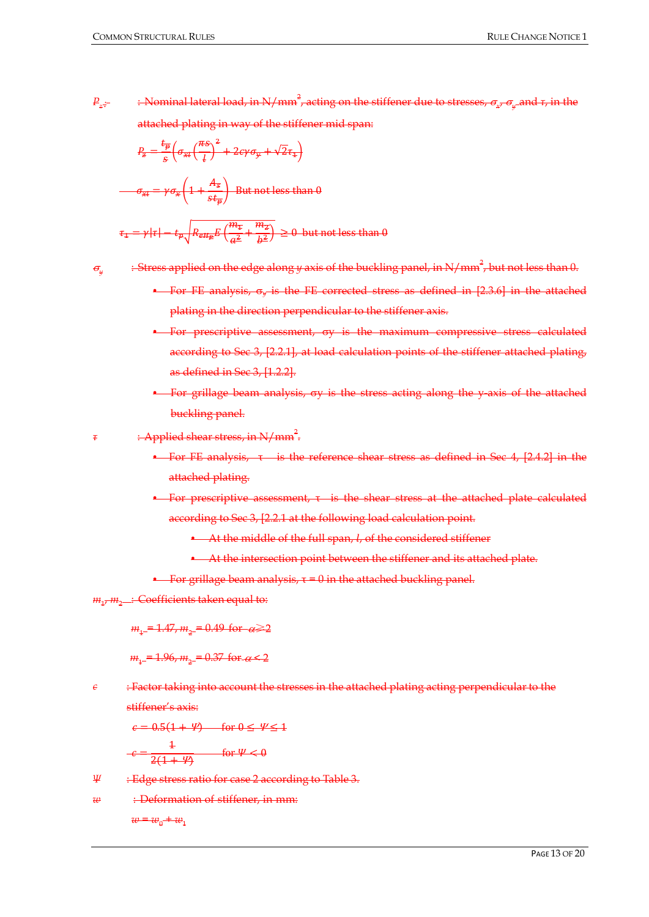*Pz :* : Nominal lateral load, in N/mm 2 , acting on the stiffener due to stresses, <sup>σ</sup>*x*, <sup>σ</sup>*<sup>y</sup>* and *τ*, in the attached plating in way of the stiffener mid span:

$$
P_z = \frac{t_{\overline{p}}}{s} \left( \sigma_{\overline{x}t} \left( \frac{\pi s}{t} \right)^2 + 2c\gamma \sigma_{\overline{y}} + \sqrt{2}\tau_{\overline{z}} \right)
$$

$$
\sigma_{\overline{x}t} = \gamma \sigma_{\overline{x}} \left( 1 + \frac{A_{\overline{s}}}{s t_{\overline{p}}} \right) \text{ But not less than } \theta
$$

$$
\tau_{\pm} = \gamma |\tau| - t_p \sqrt{R_{e\mu} E \left(\frac{m_{\pm}}{a^2} + \frac{m_Z}{b^2}\right)} \ge 0
$$
 but not less than 0

- <sup>σ</sup>*<sup>y</sup>* : Stress applied on the edge along *y* axis of the buckling panel, in N/mm 2 , but not less than 0.
	- For FE analysis, σ*<sup>y</sup>* is the FE corrected stress as defined in [2.3.6] in the attached plating in the direction perpendicular to the stiffener axis.
	- For prescriptive assessment, σy is the maximum compressive stress calculated according to Sec 3, [2.2.1], at load calculation points of the stiffener attached plating, as defined in Sec 3, [1.2.2].
	- For grillage beam analysis, σy is the stress acting along the y-axis of the attached buckling panel.
- *τ* : Applied shear stress, in N/mm 2 .
	- For FE analysis, τ is the reference shear stress as defined in Sec 4, [2.4.2] in the attached plating.
	- For prescriptive assessment, τ is the shear stress at the attached plate calculated according to Sec 3, [2.2.1 at the following load calculation point.
		- $\blacklozenge$  At the middle of the full span,  $l$ , of the considered stiffener
		- At the intersection point between the stiffener and its attached plate.
	- For grillage beam analysis,  $\tau = 0$  in the attached buckling panel.

*m*<sub>1</sub>, *m*<sub>2</sub> : Coefficients taken equal to:

 $m_1 = 1.47$ ,  $m_2 = 0.49$  for  $\alpha \ge 2$ 

 $m_1 = 1.96$ ,  $m_2 = 0.37$  for  $\alpha < 2$ 

*c* : Factor taking into account the stresses in the attached plating acting perpendicular to the stiffener's axis:

 $c = 0.5(1 + \Psi)$  for  $0 \le \Psi \le 1$ 

$$
c = \frac{1}{2(1+\Psi)} \qquad \text{for } \Psi < 0
$$

- *Ψ* : Edge stress ratio for case 2 according to Table 3.
- *w* : Deformation of stiffener, in mm:

 $w = w_0 + w_1$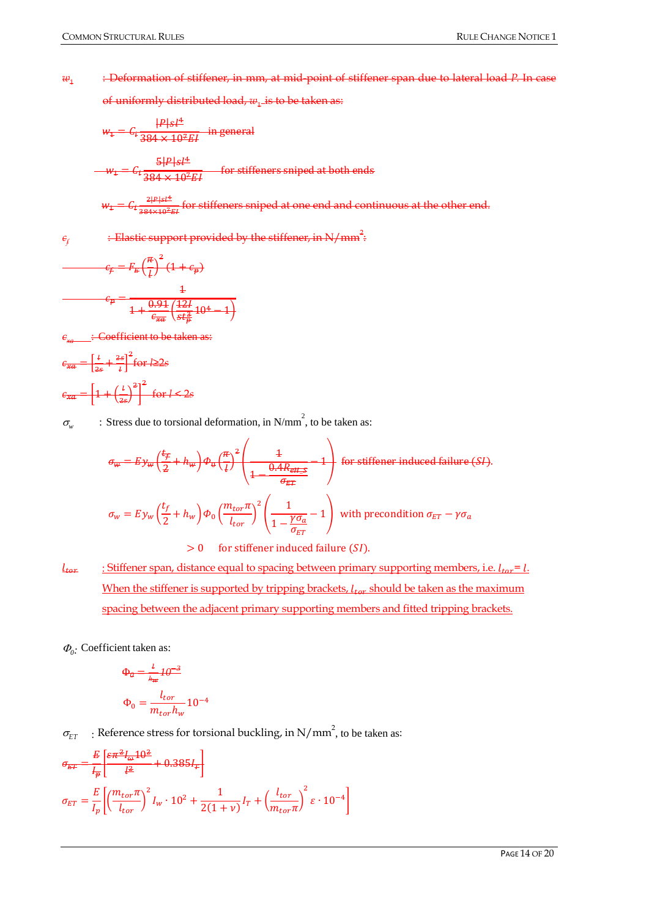#### *w*<sup>1</sup> : Deformation of stiffener, in mm, at mid-point of stiffener span due to lateral load *P*. In case

of uniformly distributed load,  $w_1$  is to be taken as:

$$
w_{\pm} = C_{\text{t}} \frac{|P|s l^4}{384 \times 10^2 EI}
$$
 in general  

$$
w_{\pm} = C_{\text{t}} \frac{5|P|s l^4}{384 \times 10^2 EI}
$$
 for stiffeners sniped at both ends

$$
w_1 = C_1 \frac{2|P|s|^4}{384 \times 10^2 EI}
$$
 for stiffeners sniped at one end and continuous at the other end.

 $\epsilon_{\rm f}$   $\qquad$   $\pm$  Elastic support provided by the stiffener, in N/mm<sup>2</sup>:

$$
c_{\text{F}} = F_{\text{E}} \left(\frac{\pi}{l}\right)^{2} (1 + c_{\text{p}})
$$

$$
c_{\text{p}} = \frac{1}{1 + \frac{0.91}{c_{\text{xx}}} \left(\frac{12l}{\text{st}_{\text{p}}^{2}} 10^{4} - 1\right)}
$$

**be taken as:** 

 $\epsilon_{\overline{xa}} = \vert$  $2s$  $+\frac{2s}{l}$ 2 for *l*≥2*s*  $c_{\overline{xa}} = \left[1 + \left(\frac{l}{2s}\right)^2\right]$ 2 for *l* < 2*s*

 $\sigma_w$  : Stress due to torsional deformation, in N/mm<sup>2</sup>, to be taken as:

$$
\sigma_{w} = E y_{w} \left(\frac{t_{f}}{2} + h_{w}\right) \Phi_{v} \left(\frac{\pi}{t}\right)^{2} \left(\frac{1}{1 - \frac{0.4R_{\text{eff}}}{\sigma_{\text{EF}}}} - 1\right)
$$
 for stiffener induced failure (SI).  

$$
\sigma_{w} = E y_{w} \left(\frac{t_{f}}{2} + h_{w}\right) \Phi_{0} \left(\frac{m_{tor}\pi}{l_{tor}}\right)^{2} \left(\frac{1}{1 - \frac{\gamma\sigma_{a}}{\sigma_{\text{ET}}}} - 1\right)
$$
 with precondition  $\sigma_{\text{ET}} - \gamma\sigma_{a}$ 

 $> 0$  for stiffener induced failure (SI).

 $l_{tor}$  : Stiffener span, distance equal to spacing between primary supporting members, i.e.  $l_{tor} = l$ . When the stiffener is supported by tripping brackets,  $l_{tor}$  should be taken as the maximum spacing between the adjacent primary supporting members and fitted tripping brackets.

<sup>Φ</sup>*0:* Coefficient taken as:

$$
\Phi_{\theta} = \frac{l}{h_{\text{w}}} I \theta^{-3}
$$

$$
\Phi_{0} = \frac{l_{tor}}{m_{tor} h_{\text{w}}} 10^{-4}
$$

 $\sigma_{ET}$  : Reference stress for torsional buckling, in N/mm<sup>2</sup>, to be taken as:

$$
\begin{split} \sigma_{ET} = & \frac{E}{l_{\bar{p}}} \left[ \frac{\epsilon \pi^2 I_{\omega} 10^2}{l^2} + 0.385 I_{T} \right] \\ \sigma_{ET} = & \frac{E}{l_{p}} \left[ \left( \frac{m_{tor} \pi}{l_{tor}} \right)^2 I_{w} \cdot 10^2 + \frac{1}{2(1+\nu)} I_{T} + \left( \frac{l_{tor}}{m_{tor} \pi} \right)^2 \varepsilon \cdot 10^{-4} \right] \end{split}
$$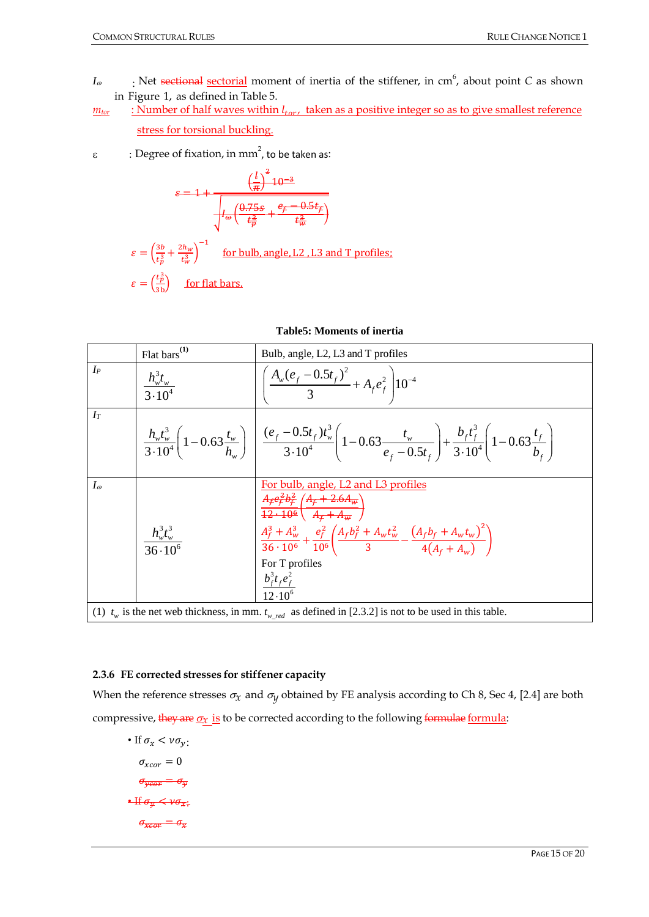- *I*<sub>ω</sub> : Net sectional <u>sectorial</u> moment of inertia of the stiffener, in cm<sup>6</sup>, about point *C* as shown in Figure 1, as defined in Table 5.
- $m_{tor}$  : Number of half waves within  $l_{tor}$ , taken as a positive integer so as to give smallest reference stress for torsional buckling.
- ε  $\cdot$  : Degree of fixation, in mm<sup>2</sup>, to be taken as:

$$
\varepsilon = 1 + \frac{\left(\frac{1}{\pi}\right)^2 10^{-3}}{\sqrt{\frac{4\omega}{\omega} \left(\frac{\theta.75s}{t_p^3} + \frac{\theta_f - 0.5t_f}{t_w^3}\right)}}
$$
\n
$$
\varepsilon = \left(\frac{3b}{t_p^3} + \frac{2h_w}{t_w^3}\right)^{-1} \quad \text{for bulb, angle, L2, L3 and T profiles:}
$$
\n
$$
\varepsilon = \left(\frac{t_p^3}{3b}\right) \quad \text{for flat bars.}
$$

|                                                                                                                        | $Flat bars$ <sup>(1)</sup>          | Bulb, angle, L2, L3 and T profiles                                                                                                                                                                                                                                                                                                                                                                                                                        |  |  |  |
|------------------------------------------------------------------------------------------------------------------------|-------------------------------------|-----------------------------------------------------------------------------------------------------------------------------------------------------------------------------------------------------------------------------------------------------------------------------------------------------------------------------------------------------------------------------------------------------------------------------------------------------------|--|--|--|
| $I_P$                                                                                                                  | $\frac{h_w^3 t_w}{3 \cdot 10^4}$    | $\sqrt{\frac{A_w(e_f-0.5t_f)^2}{3}+A_f e_f^2}$ 10 <sup>-4</sup>                                                                                                                                                                                                                                                                                                                                                                                           |  |  |  |
| $I_T$                                                                                                                  |                                     | $\frac{h_v t_w^3}{3 \cdot 10^4} \left(1 - 0.63 \frac{t_w}{h_w}\right) \left( \frac{(e_f - 0.5t_f)t_w^3}{3 \cdot 10^4} \left(1 - 0.63 \frac{t_w}{e_f - 0.5t_f}\right) + \frac{b_f t_f^3}{3 \cdot 10^4} \left(1 - 0.63 \frac{t_f}{b_f}\right) \right)$                                                                                                                                                                                                      |  |  |  |
| $I_{\omega}$                                                                                                           | $\frac{h_w^3 t_w^3}{36 \cdot 10^6}$ | For bulb, angle, L2 and L3 profiles<br>$A_{\mathcal{F}}e_{\mathcal{F}}^{2}b_{\mathcal{F}}^{2}/A_{\mathcal{F}}+2.6A_{\mathcal{W}}$<br>$\frac{12.10^6}{4} \left( \frac{A_{\rm f} + A_{\rm w}}{4} \right)$<br>$\frac{A_f^3 + A_w^3}{36 \cdot 10^6} + \frac{e_f^2}{10^6} \left( \frac{A_f b_f^2 + A_w t_w^2}{3} - \frac{\left( A_f b_f + A_w t_w \right)^2}{4 \left( A_s + A_s \right)} \right)$<br>For T profiles<br>$\frac{b_f^3 t_f e_f^2}{12 \cdot 10^6}$ |  |  |  |
| (1) $t_w$ is the net web thickness, in mm. $t_{w_{\text{red}}}$ as defined in [2.3.2] is not to be used in this table. |                                     |                                                                                                                                                                                                                                                                                                                                                                                                                                                           |  |  |  |

|  | <b>Table5: Moments of inertia</b> |  |
|--|-----------------------------------|--|
|--|-----------------------------------|--|

#### **2.3.6 FE corrected stresses for stiffener capacity**

When the reference stresses  $\sigma_x$  and  $\sigma_y$  obtained by FE analysis according to Ch 8, Sec 4, [2.4] are both compressive, they are  $\sigma_X$  is to be corrected according to the following formula formula:

• If  $\sigma_x < v \sigma_y$ :  $\sigma_{xcor} = 0$  $\sigma_{\overline{vector}} = \sigma_{\overline{y}}$ • If  $\sigma_y < \nu \sigma_{x}$ .  $\sigma_{\overline{x} \overline{c} \overline{a} \overline{x}} = \sigma_{\overline{x}}$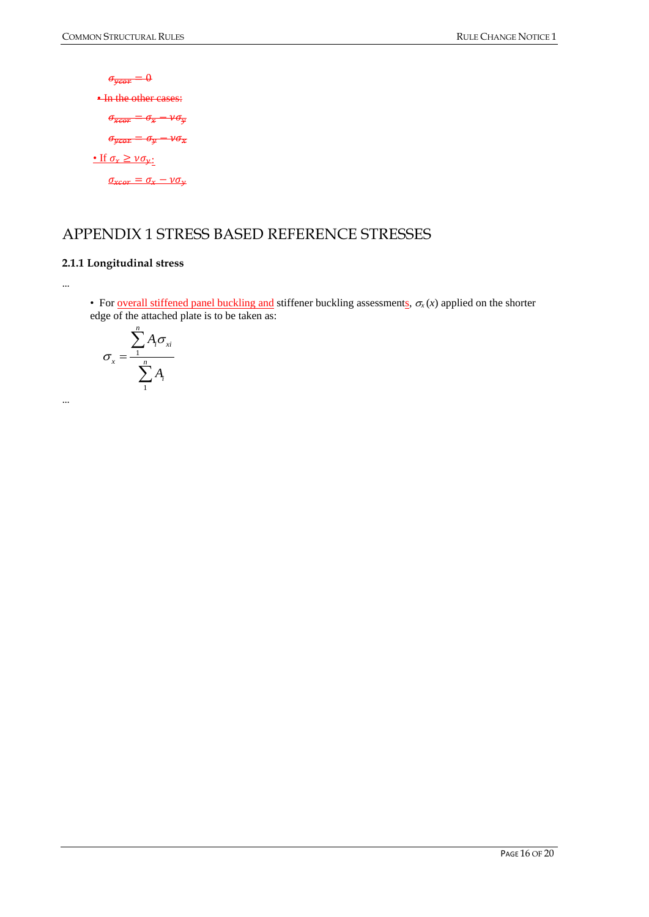$\sigma_{\overline{ycor}} = 0$ **• In the other cases:**  $\sigma_{\overline{xcor}} = \sigma_{\overline{x}} - \nu \sigma_{\overline{y}}$  $\sigma_{\overline{ycor}} = \sigma_{\overline{y}} - \nu \sigma_{\overline{x}}$ • If  $\sigma_x \geq \nu \sigma_{y}$ :  $\sigma_{xcor} = \sigma_x - \nu \sigma_y$ 

## <span id="page-15-0"></span>APPENDIX 1 STRESS BASED REFERENCE STRESSES

#### **2.1.1 Longitudinal stress**

…

…

• For <u>overall stiffened panel buckling and</u> stiffener buckling assessments,  $\sigma_x(x)$  applied on the shorter edge of the attached plate is to be taken as:

$$
\sigma_x = \frac{\sum_{i=1}^{n} A_i \sigma_{xi}}{\sum_{i=1}^{n} A_i}
$$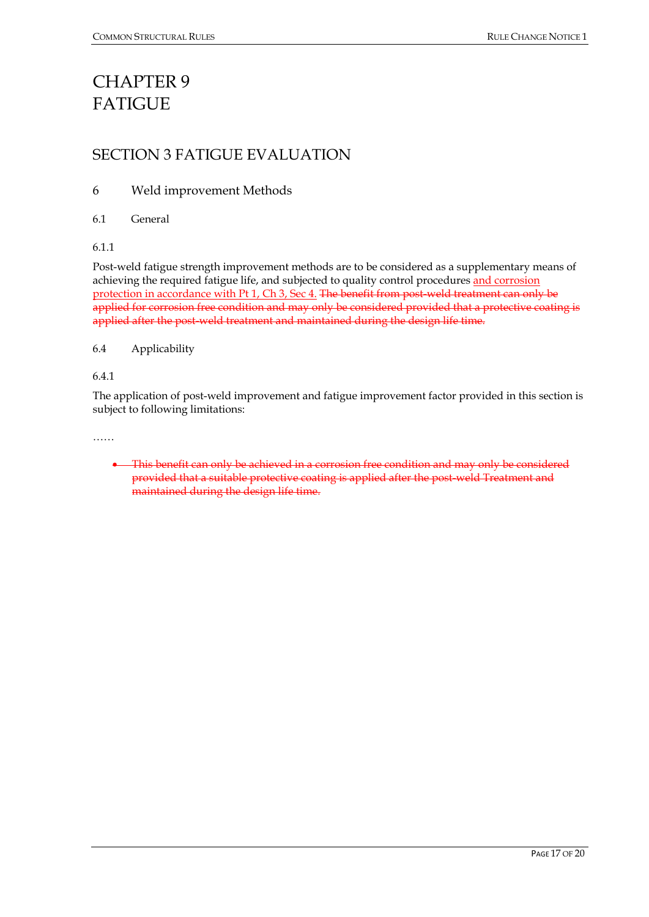## <span id="page-16-0"></span>CHAPTER 9 **FATIGUE**

### <span id="page-16-1"></span>SECTION 3 FATIGUE EVALUATION

#### 6 Weld improvement Methods

6.1 General

6.1.1

Post-weld fatigue strength improvement methods are to be considered as a supplementary means of achieving the required fatigue life, and subjected to quality control procedures and corrosion protection in accordance with Pt 1, Ch 3, Sec 4. The benefit from post-weld treatment can only be applied for corrosion free condition and may only be considered provided that a protective coating is applied after the post-weld treatment and maintained during the design life time.

6.4 Applicability

6.4.1

The application of post-weld improvement and fatigue improvement factor provided in this section is subject to following limitations:

……

• This benefit can only be achieved in a corrosion free condition and may only be considered provided that a suitable protective coating is applied after the post-weld Treatment and maintained during the design life time.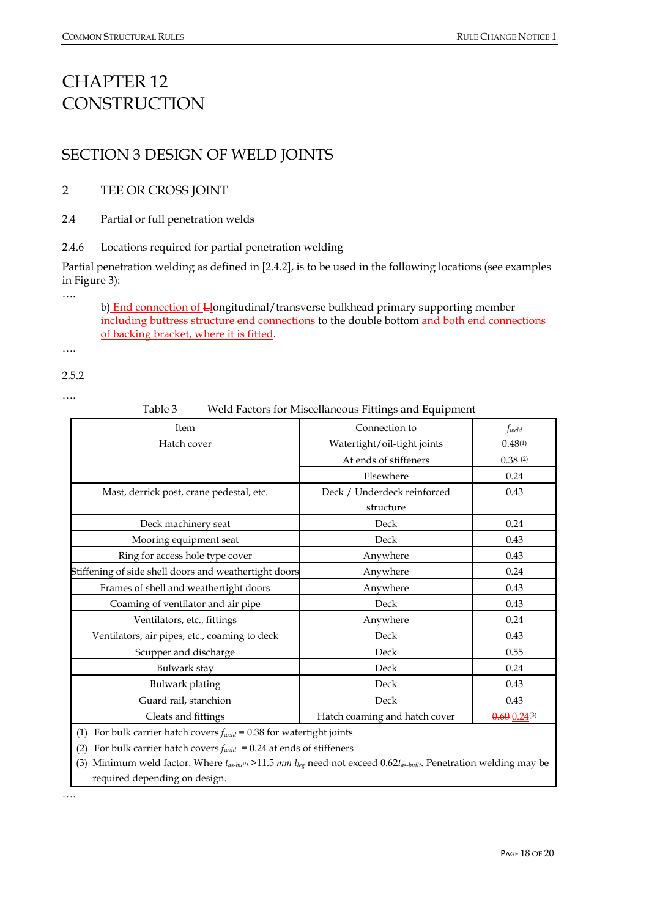## <span id="page-17-0"></span>CHAPTER 12 **CONSTRUCTION**

## <span id="page-17-1"></span>SECTION 3 DESIGN OF WELD JOINTS

#### 2 TEE OR CROSS JOINT

2.4 Partial or full penetration welds

2.4.6 Locations required for partial penetration welding

Partial penetration welding as defined in [2.4.2], is to be used in the following locations (see examples in Figure 3):

b) End connection of Llongitudinal/transverse bulkhead primary supporting member including buttress structure end connections to the double bottom and both end connections of backing bracket, where it is fitted.

2.5.2

….

….

….

Table 3 Weld Factors for Miscellaneous Fittings and Equipment

| Item                                                                                | Connection to                 | fweld               |  |  |
|-------------------------------------------------------------------------------------|-------------------------------|---------------------|--|--|
| Hatch cover                                                                         | Watertight/oil-tight joints   | 0.48(1)             |  |  |
|                                                                                     | At ends of stiffeners         | 0.38(2)             |  |  |
|                                                                                     | Elsewhere                     | 0.24                |  |  |
| Mast, derrick post, crane pedestal, etc.                                            | Deck / Underdeck reinforced   | 0.43                |  |  |
|                                                                                     | structure                     |                     |  |  |
| Deck machinery seat                                                                 | Deck                          | 0.24                |  |  |
| Mooring equipment seat                                                              | Deck                          | 0.43                |  |  |
| Ring for access hole type cover                                                     | Anywhere                      | 0.43                |  |  |
| Stiffening of side shell doors and weathertight doors                               | Anywhere                      | 0.24                |  |  |
| Frames of shell and weathertight doors                                              | Anywhere                      | 0.43                |  |  |
| Coaming of ventilator and air pipe                                                  | Deck                          | 0.43                |  |  |
| Ventilators, etc., fittings                                                         | Anywhere                      | 0.24                |  |  |
| Ventilators, air pipes, etc., coaming to deck                                       | Deck                          | 0.43                |  |  |
| Scupper and discharge                                                               | Deck                          | 0.55                |  |  |
| Bulwark stay                                                                        | Deck                          | 0.24                |  |  |
| <b>Bulwark</b> plating                                                              | Deck                          | 0.43                |  |  |
| Guard rail, stanchion                                                               | Deck                          | 0.43                |  |  |
| Cleats and fittings                                                                 | Hatch coaming and hatch cover | $0.60$ $0.24^{(3)}$ |  |  |
| For bulk carrier hatch covers $f_{\text{weld}} = 0.38$ for watertight joints<br>(1) |                               |                     |  |  |
| For bulk carrier hatch covers $f_{\text{weld}} = 0.24$ at ends of stiffeners<br>(2) |                               |                     |  |  |

(3) Minimum weld factor. Where *tas-built* >11.5 *mm lleg* need not exceed 0.62*tas-built*. Penetration welding may be required depending on design.

….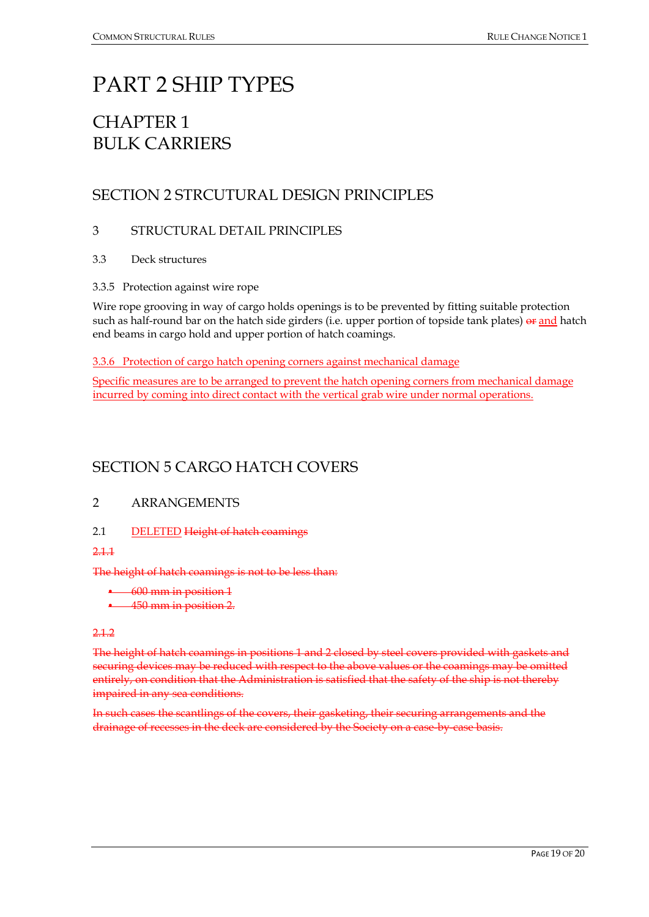## <span id="page-18-0"></span>PART 2 SHIP TYPES

## <span id="page-18-1"></span>CHAPTER 1 BULK CARRIERS

## <span id="page-18-2"></span>SECTION 2 STRCUTURAL DESIGN PRINCIPLES

#### 3 STRUCTURAL DETAIL PRINCIPLES

- 3.3 Deck structures
- 3.3.5 Protection against wire rope

Wire rope grooving in way of cargo holds openings is to be prevented by fitting suitable protection such as half-round bar on the hatch side girders (i.e. upper portion of topside tank plates) or and hatch end beams in cargo hold and upper portion of hatch coamings.

3.3.6 Protection of cargo hatch opening corners against mechanical damage

Specific measures are to be arranged to prevent the hatch opening corners from mechanical damage incurred by coming into direct contact with the vertical grab wire under normal operations.

## <span id="page-18-3"></span>SECTION 5 CARGO HATCH COVERS

#### 2 ARRANGEMENTS

2.1 DELETED Height of hatch coamings

2.1.1

The height of hatch coamings is not to be less than:

- 600 mm in position 1
- 450 mm in position 2.

#### 2.1.2

The height of hatch coamings in positions 1 and 2 closed by steel covers provided with gaskets and securing devices may be reduced with respect to the above values or the coamings may be omitted entirely, on condition that the Administration is satisfied that the safety of the ship is not thereby impaired in any sea conditions.

In such cases the scantlings of the covers, their gasketing, their securing arrangements and the drainage of recesses in the deck are considered by the Society on a case-by-case basis.